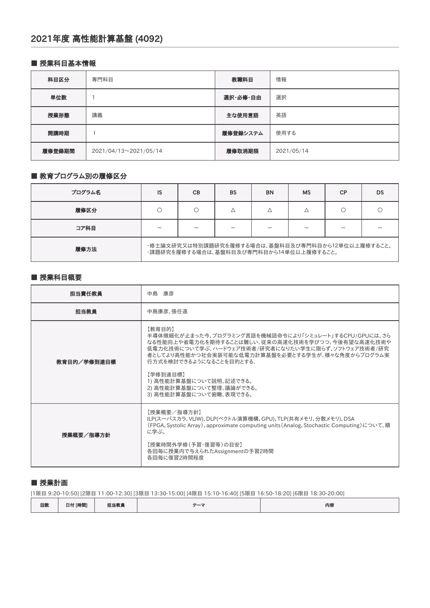#### ■ 授業科目基本情報

| 科目区分   | 専門科目                  | 教職科目     | 情報         |
|--------|-----------------------|----------|------------|
| 単位数    |                       | 選択·必修·自由 | 選択         |
| 授業形態   | 講義                    | 主な使用言語   | 英語         |
| 開講時期   |                       | 履修登録システム | 使用する       |
| 履修登録期間 | 2021/04/13~2021/05/14 | 履修取消期限   | 2021/05/14 |

# ■ 教育プログラム別の履修区分

| プログラム名 | IS                                                                                           | <b>CB</b> | <b>BS</b> | <b>BN</b> | <b>MS</b> | СP | DS |
|--------|----------------------------------------------------------------------------------------------|-----------|-----------|-----------|-----------|----|----|
| 履修区分   |                                                                                              |           |           |           |           |    |    |
| コア科目   |                                                                                              |           |           |           |           |    |    |
| 履修方法   | ・修士論文研究又は特別課題研究を履修する場合は、基盤科目及び専門科目から12単位以上履修すること。<br>・課題研究を履修する場合は、基盤科目及び専門科目から14単位以上履修すること。 |           |           |           |           |    |    |

#### ■ 授業科目概要

| 担当責任教員      | 中島 康彦                                                                                                                                                                                                                                                                                                                                                   |
|-------------|---------------------------------------------------------------------------------------------------------------------------------------------------------------------------------------------------------------------------------------------------------------------------------------------------------------------------------------------------------|
| 担当教員        | 中島康彦、張任遠                                                                                                                                                                                                                                                                                                                                                |
| 教育目的/学修到達目標 | 【教育目的】<br>半導体微細化が止まった今,プログラミング言語を機械語命令により「シミュレート」するCPU/GPUには,さら<br>なる性能向上や省電力化を期待することは難しい.従来の高速化技術を学びつつ,今後有望な高速化技術や<br>低電力化技術について学ぶ. ハードウェア技術者/研究者になりたい学生に限らず,ソフトウェア技術者/研究<br>者としてより高性能かつ社会実装可能な低電力計算基盤を必要とする学生が、様々な角度からプログラム実<br>行方式を検討できるようになることを目的とする.<br>【学修到達目標】<br>1) 高性能計算基盤について説明、記述できる。<br>2) 高性能計算基盤について整理、議論ができる。<br>3) 高性能計算基盤について俯瞰、表現できる。 |
| 授業概要/指導方針   | 【授業概要/指導方針】<br>ILP(スーパスカラ, VLIW), DLP(ベクトル演算機構, GPU), TLP(共有メモリ, 分散メモリ), DSA<br>(FPGA, Systolic Array), approximate computing units (Analog, Stochastic Computing)について、順<br>に学ぶ。<br>【授業時間外学修(予習・復習等)の目安】<br>各回毎に授業内で与えられたAssignmentの予習2時間<br>各回毎に復習2時間程度                                                                                                |

#### ■ 授業計画

[1限目 9:20-10:50] [2限目 11:00-12:30] [3限目 13:30-15:00] [4限目 15:10-16:40] [5限目 16:50-18:20] [6限目 18:30-20:00]

| 回数 | 日付 [時間] | 担当教員 | $=$ | 内容 |
|----|---------|------|-----|----|
|----|---------|------|-----|----|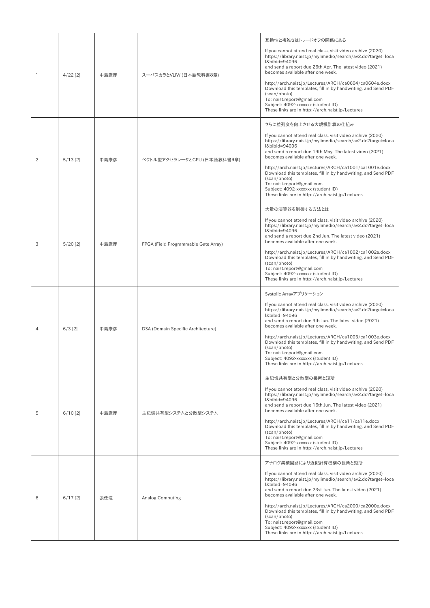| $\mathbf{1}$   | $4/22$ [2] | 中島康彦 | スーパスカラとVLIW (日本語教科書8章)               | 互換性と複雑さはトレードオフの関係にある<br>If you cannot attend real class, visit video archive (2020)<br>https://library.naist.jp/mylimedio/search/av2.do?target=loca<br>I&bibid=94096<br>and send a report due 26th Apr. The latest video (2021)<br>becomes available after one week.<br>http://arch.naist.jp/Lectures/ARCH/ca0604/ca0604e.docx<br>Download this templates, fill in by handwriting, and Send PDF<br>(scan/photo)<br>To: naist.report@gmail.com<br>Subject: 4092-xxxxxxx (student ID)<br>These links are in http://arch.naist.jp/Lectures    |
|----------------|------------|------|--------------------------------------|--------------------------------------------------------------------------------------------------------------------------------------------------------------------------------------------------------------------------------------------------------------------------------------------------------------------------------------------------------------------------------------------------------------------------------------------------------------------------------------------------------------------------------------------|
| $\overline{c}$ | $5/13$ [2] | 中島康彦 | ベクトル型アクセラレータとGPU (日本語教科書9章)          | さらに並列度を向上させる大規模計算の仕組み<br>If you cannot attend real class, visit video archive (2020)<br>https://library.naist.jp/mylimedio/search/av2.do?target=loca<br>I&bibid=94096<br>and send a report due 19th May. The latest video (2021)<br>becomes available after one week.<br>http://arch.naist.jp/Lectures/ARCH/ca1001/ca1001e.docx<br>Download this templates, fill in by handwriting, and Send PDF<br>(scan/photo)<br>To: naist.report@gmail.com<br>Subject: 4092-xxxxxxx (student ID)<br>These links are in http://arch.naist.jp/Lectures   |
| 3              | $5/20$ [2] | 中島康彦 | FPGA (Field Programmable Gate Array) | 大量の演算器を制御する方法とは<br>If you cannot attend real class, visit video archive (2020)<br>https://library.naist.jp/mylimedio/search/av2.do?target=loca<br>I&bibid=94096<br>and send a report due 2nd Jun. The latest video (2021)<br>becomes available after one week.<br>http://arch.naist.jp/Lectures/ARCH/ca1002/ca1002e.docx<br>Download this templates, fill in by handwriting, and Send PDF<br>(scan/photo)<br>To: naist.report@gmail.com<br>Subject: 4092-xxxxxxx (student ID)<br>These links are in http://arch.naist.jp/Lectures          |
| $\overline{4}$ | $6/3$ [2]  | 中島康彦 | DSA (Domain Specific Architecture)   | Systolic Arrayアプリケーション<br>If you cannot attend real class, visit video archive (2020)<br>https://library.naist.jp/mylimedio/search/av2.do?target=loca<br>I&bibid=94096<br>and send a report due 9th Jun. The latest video (2021)<br>becomes available after one week.<br>http://arch.naist.jp/Lectures/ARCH/ca1003/ca1003e.docx<br>Download this templates, fill in by handwriting, and Send PDF<br>(scan/photo)<br>To: naist.report@gmail.com<br>Subject: 4092-xxxxxxx (student ID)<br>These links are in http://arch.naist.jp/Lectures   |
| 5              | $6/10$ [2] | 中島康彦 | 主記憶共有型システムと分散型システム                   | 主記憶共有型と分散型の長所と短所<br>If you cannot attend real class, visit video archive (2020)<br>https://library.naist.jp/mylimedio/search/av2.do?target=loca<br>I&bibid=94096<br>and send a report due 16th Jun. The latest video (2021)<br>becomes available after one week.<br>http://arch.naist.jp/Lectures/ARCH/ca11/ca11e.docx<br>Download this templates, fill in by handwriting, and Send PDF<br>(scan/photo)<br>To: naist.report@gmail.com<br>Subject: 4092-xxxxxxx (student ID)<br>These links are in http://arch.naist.jp/Lectures            |
| 6              | $6/17$ [2] | 張任遠  | <b>Analog Computing</b>              | アナログ集積回路により近似計算機構の長所と短所<br>If you cannot attend real class, visit video archive (2020)<br>https://library.naist.jp/mylimedio/search/av2.do?target=loca<br>I&bibid=94096<br>and send a report due 23st Jun. The latest video (2021)<br>becomes available after one week.<br>http://arch.naist.jp/Lectures/ARCH/ca2000/ca2000e.docx<br>Download this templates, fill in by handwriting, and Send PDF<br>(scan/photo)<br>To: naist.report@gmail.com<br>Subject: 4092-xxxxxxx (student ID)<br>These links are in http://arch.naist.jp/Lectures |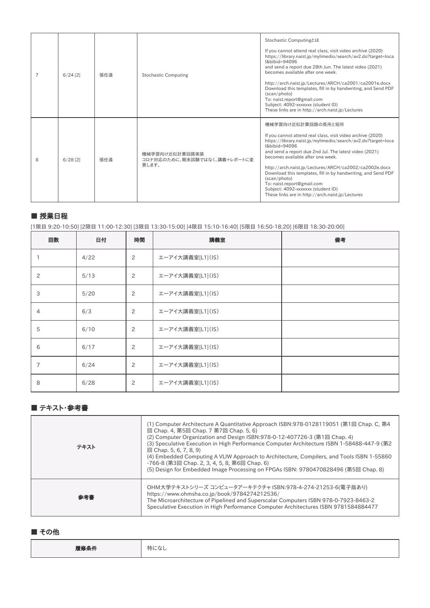| 7 | $6/24$ [2] | 張任遠 | <b>Stochastic Computing</b>                             | Stochastic Computingとは<br>If you cannot attend real class, visit video archive (2020)<br>https://library.naist.jp/mylimedio/search/av2.do?target=loca<br>I&bibid=94096<br>and send a report due 28th Jun. The latest video (2021)<br>becomes available after one week.<br>http://arch.naist.jp/Lectures/ARCH/ca2001/ca2001e.docx<br>Download this templates, fill in by handwriting, and Send PDF<br>(scan/photo)<br>To: naist.report@gmail.com<br>Subject: 4092-xxxxxxx (student ID)<br>These links are in http://arch.naist.jp/Lectures |
|---|------------|-----|---------------------------------------------------------|-------------------------------------------------------------------------------------------------------------------------------------------------------------------------------------------------------------------------------------------------------------------------------------------------------------------------------------------------------------------------------------------------------------------------------------------------------------------------------------------------------------------------------------------|
| 8 | $6/28$ [2] | 張任遠 | 機械学習向け近似計算回路実装<br>コロナ対応のために、期末試験ではなく、講義+レポートに変<br>更します。 | 機械学習向け近似計算回路の長所と短所<br>If you cannot attend real class, visit video archive (2020)<br>https://library.naist.jp/mylimedio/search/av2.do?target=loca<br>I&bibid=94096<br>and send a report due 2nd Jul. The latest video (2021)<br>becomes available after one week.<br>http://arch.naist.jp/Lectures/ARCH/ca2002/ca2002e.docx<br>Download this templates, fill in by handwriting, and Send PDF<br>(scan/photo)<br>To: naist.report@gmail.com<br>Subject: 4092-xxxxxxx (student ID)<br>These links are in http://arch.naist.jp/Lectures      |

### ■ 授業日程

[1限目 9:20-10:50] [2限目 11:00-12:30] [3限目 13:30-15:00] [4限目 15:10-16:40] [5限目 16:50-18:20] [6限目 18:30-20:00]

| 回数             | 日付   | 時間 | 講義室              | 備考 |
|----------------|------|----|------------------|----|
|                | 4/22 | 2  | エーアイ大講義室[L1](IS) |    |
| 2              | 5/13 | 2  | エーアイ大講義室[L1](IS) |    |
| 3              | 5/20 | 2  | エーアイ大講義室[L1](IS) |    |
| $\overline{4}$ | 6/3  | 2  | エーアイ大講義室[L1](IS) |    |
| 5              | 6/10 | 2  | エーアイ大講義室[L1](IS) |    |
| 6              | 6/17 | 2  | エーアイ大講義室[L1](IS) |    |
| 7              | 6/24 | 2  | エーアイ大講義室[L1](IS) |    |
| 8              | 6/28 | 2  | エーアイ大講義室[L1](IS) |    |

## ■ テキスト・参考書

| テキスト | (1) Computer Architecture A Quantitative Approach ISBN:978-0128119051 (第1回 Chap. C, 第4<br>回 Chap. 4, 第5回 Chap. 7 第7回 Chap. 5, 6)<br>(2) Computer Organization and Design ISBN: 978-0-12-407726-3 (第1回 Chap. 4)<br>(3) Speculative Execution in High Performance Computer Architecture ISBN 1-58488-447-9 (第2<br>$\Box$ Chap. 5, 6, 7, 8, 9)<br>(4) Embedded Computing A VLIW Approach to Architecture, Compilers, and Tools ISBN 1-55860<br>-766-8 (第3回 Chap. 2, 3, 4, 5, 8, 第6回 Chap. 6)<br>(5) Design for Embedded Image Processing on FPGAs ISBN: 9780470828496 (第5回 Chap. 8) |
|------|----------------------------------------------------------------------------------------------------------------------------------------------------------------------------------------------------------------------------------------------------------------------------------------------------------------------------------------------------------------------------------------------------------------------------------------------------------------------------------------------------------------------------------------------------------------------------------|
| 参考書  | OHM大学テキストシリーズ コンピュータアーキテクチャ ISBN:978-4-274-21253-6(電子版あり)<br>https://www.ohmsha.co.jp/book/9784274212536/<br>The Microarchitecture of Pipelined and Superscalar Computers ISBN 978-0-7923-8463-2<br>Speculative Execution in High Performance Computer Architectures ISBN 9781584884477                                                                                                                                                                                                                                                                                          |

### ■ その他

| <b>READY AT ILL</b><br><b>CONTRACTOR</b> | 特にな、 |
|------------------------------------------|------|